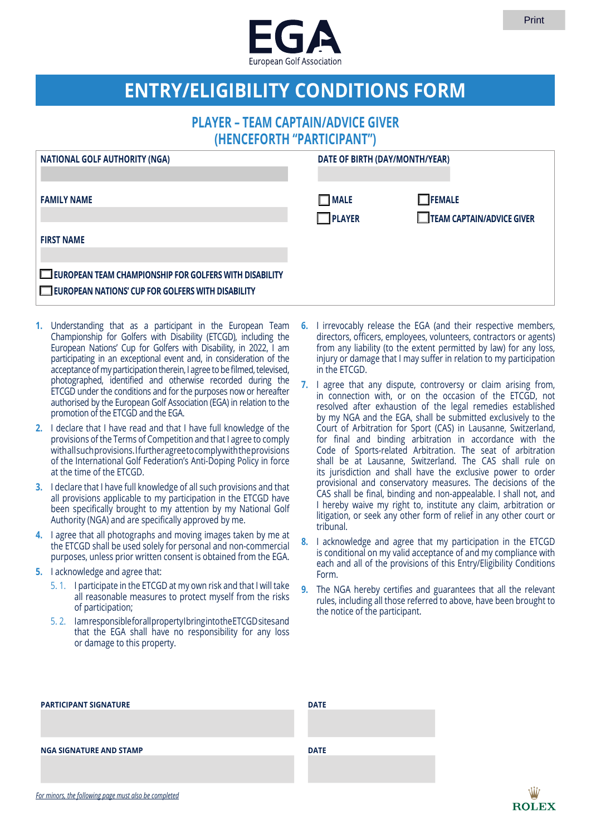

## **ENTRY/ELIGIBILITY CONDITIONS FORM**

## **PLAYER – TEAM CAPTAIN/ADVICE GIVER (HENCEFORTH "PARTICIPANT")**

| <b>NATIONAL GOLF AUTHORITY (NGA)</b>                                                                        | DATE OF BIRTH (DAY/MONTH/YEAR) |                                            |
|-------------------------------------------------------------------------------------------------------------|--------------------------------|--------------------------------------------|
| <b>FAMILY NAME</b>                                                                                          | $\Box$ MALE<br>$\Box$ PLAYER   | $\Box$ FEMALE<br>TEAM CAPTAIN/ADVICE GIVER |
| <b>FIRST NAME</b>                                                                                           |                                |                                            |
| EUROPEAN TEAM CHAMPIONSHIP FOR GOLFERS WITH DISABILITY<br>EUROPEAN NATIONS' CUP FOR GOLFERS WITH DISABILITY |                                |                                            |

- **1.** Understanding that as a participant in the European Team Championship for Golfers with Disability (ETCGD), including the European Nations' Cup for Golfers with Disability, in 2022, I am participating in an exceptional event and, in consideration of the acceptance of my participation therein, I agree to be filmed, televised, photographed, identified and otherwise recorded during the ETCGD under the conditions and for the purposes now or hereafter authorised by the European Golf Association (EGA) in relation to the promotion of the ETCGD and the EGA.
- **2.** I declare that I have read and that I have full knowledge of the provisions of the Terms of Competition and that I agree to comply with all such provisions. I further agree to comply with the provisions of the International Golf Federation's Anti-Doping Policy in force at the time of the ETCGD.
- **3.** I declare that I have full knowledge of all such provisions and that all provisions applicable to my participation in the ETCGD have been specifically brought to my attention by my National Golf Authority (NGA) and are specifically approved by me.
- **4.** I agree that all photographs and moving images taken by me at the ETCGD shall be used solely for personal and non-commercial purposes, unless prior written consent is obtained from the EGA.
- **5.** I acknowledge and agree that:
	- 5. 1. I participate in the ETCGD at my own risk and that I will take all reasonable measures to protect myself from the risks of participation;
	- 5. 2. I am responsible for all property I bring into the ETCGD sites and that the EGA shall have no responsibility for any loss or damage to this property.
- **6.** I irrevocably release the EGA (and their respective members, directors, officers, employees, volunteers, contractors or agents) from any liability (to the extent permitted by law) for any loss, injury or damage that I may suffer in relation to my participation in the ETCGD.
- **7.** I agree that any dispute, controversy or claim arising from, in connection with, or on the occasion of the ETCGD, not resolved after exhaustion of the legal remedies established by my NGA and the EGA, shall be submitted exclusively to the Court of Arbitration for Sport (CAS) in Lausanne, Switzerland, for final and binding arbitration in accordance with the Code of Sports-related Arbitration. The seat of arbitration shall be at Lausanne, Switzerland. The CAS shall rule on its jurisdiction and shall have the exclusive power to order provisional and conservatory measures. The decisions of the CAS shall be final, binding and non-appealable. I shall not, and I hereby waive my right to, institute any claim, arbitration or litigation, or seek any other form of relief in any other court or tribunal.
- **8.** I acknowledge and agree that my participation in the ETCGD is conditional on my valid acceptance of and my compliance with each and all of the provisions of this Entry/Eligibility Conditions Form.
- **9.** The NGA hereby certifies and guarantees that all the relevant rules, including all those referred to above, have been brought to the notice of the participant.

| <b>PARTICIPANT SIGNATURE</b>                          | <b>DATE</b> |
|-------------------------------------------------------|-------------|
|                                                       |             |
|                                                       |             |
| <b>NGA SIGNATURE AND STAMP</b>                        | <b>DATE</b> |
|                                                       |             |
|                                                       |             |
| For minors, the following page must also be completed |             |